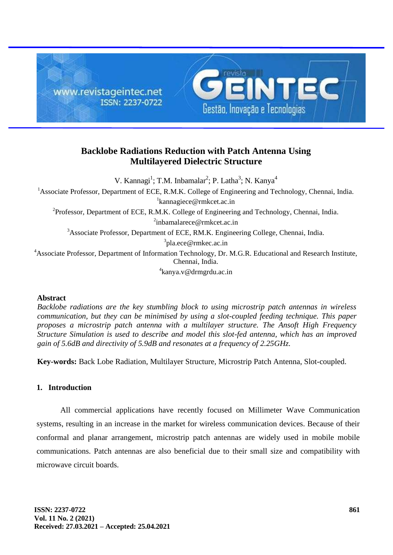

# **Backlobe Radiations Reduction with Patch Antenna Using Multilayered Dielectric Structure**

V. Kannagi<sup>1</sup>; T.M. Inbamalar<sup>2</sup>; P. Latha<sup>3</sup>; N. Kanya<sup>4</sup> <sup>1</sup>Associate Professor, Department of ECE, R.M.K. College of Engineering and Technology, Chennai, India. 1 [kannagiece@rmkcet.ac.in](mailto:1kannagiece@rmkcet.ac.in) <sup>2</sup>Professor, Department of ECE, R.M.K. College of Engineering and Technology, Chennai, India. <sup>2</sup>[inbamalarece@rmkcet.ac.in](mailto:2inbamalarece@rmkcet.ac.in) <sup>3</sup>Associate Professor, Department of ECE, RM.K. Engineering College, Chennai, India. <sup>3</sup>[pla.ece@rmkec.ac.in](mailto:3pla.ece@rmkec.ac.in) <sup>4</sup>Associate Professor, Department of Information Technology, Dr. M.G.R. Educational and Research Institute, Chennai, India. 4 kanya.v@drmgrdu.ac.in

# **Abstract**

*Backlobe radiations are the key stumbling block to using microstrip patch antennas in wireless communication, but they can be minimised by using a slot-coupled feeding technique. This paper proposes a microstrip patch antenna with a multilayer structure. The Ansoft High Frequency Structure Simulation is used to describe and model this slot-fed antenna, which has an improved gain of 5.6dB and directivity of 5.9dB and resonates at a frequency of 2.25GHz.*

**Key-words:** Back Lobe Radiation, Multilayer Structure, Microstrip Patch Antenna, Slot-coupled.

# **1. Introduction**

All commercial applications have recently focused on Millimeter Wave Communication systems, resulting in an increase in the market for wireless communication devices. Because of their conformal and planar arrangement, microstrip patch antennas are widely used in mobile mobile communications. Patch antennas are also beneficial due to their small size and compatibility with microwave circuit boards.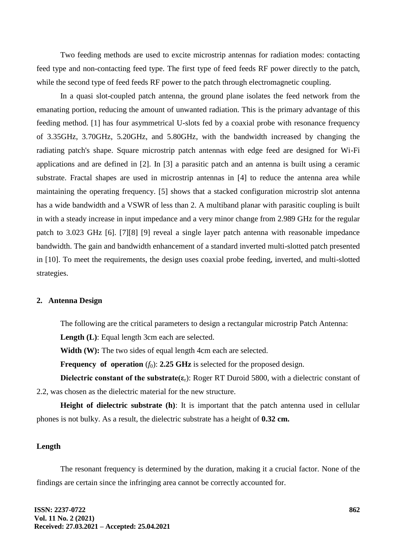Two feeding methods are used to excite microstrip antennas for radiation modes: contacting feed type and non-contacting feed type. The first type of feed feeds RF power directly to the patch, while the second type of feed feeds RF power to the patch through electromagnetic coupling.

In a quasi slot-coupled patch antenna, the ground plane isolates the feed network from the emanating portion, reducing the amount of unwanted radiation. This is the primary advantage of this feeding method. [1] has four asymmetrical U-slots fed by a coaxial probe with resonance frequency of 3.35GHz, 3.70GHz, 5.20GHz, and 5.80GHz, with the bandwidth increased by changing the radiating patch's shape. Square microstrip patch antennas with edge feed are designed for Wi-Fi applications and are defined in [2]. In [3] a parasitic patch and an antenna is built using a ceramic substrate. Fractal shapes are used in microstrip antennas in [4] to reduce the antenna area while maintaining the operating frequency. [5] shows that a stacked configuration microstrip slot antenna has a wide bandwidth and a VSWR of less than 2. A multiband planar with parasitic coupling is built in with a steady increase in input impedance and a very minor change from 2.989 GHz for the regular patch to 3.023 GHz [6]. [7][8] [9] reveal a single layer patch antenna with reasonable impedance bandwidth. The gain and bandwidth enhancement of a standard inverted multi-slotted patch presented in [10]. To meet the requirements, the design uses coaxial probe feeding, inverted, and multi-slotted strategies.

# **2. Antenna Design**

The following are the critical parameters to design a rectangular microstrip Patch Antenna:

**Length (L)**: Equal length 3cm each are selected.

**Width (W):** The two sides of equal length 4cm each are selected.

**Frequency of operation**  $(f_0)$ : **2.25 GHz** is selected for the proposed design.

**Dielectric constant of the substrate(** $\varepsilon_r$ **):** Roger RT Duroid 5800, with a dielectric constant of 2.2, was chosen as the dielectric material for the new structure.

**Height of dielectric substrate (h)**: It is important that the patch antenna used in cellular phones is not bulky. As a result, the dielectric substrate has a height of **0.32 cm.**

# **Length**

The resonant frequency is determined by the duration, making it a crucial factor. None of the findings are certain since the infringing area cannot be correctly accounted for.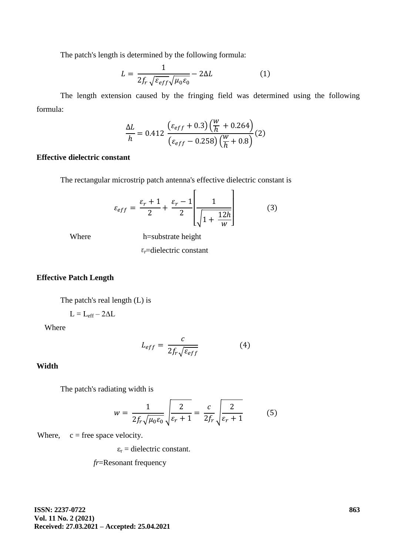The patch's length is determined by the following formula:

$$
L = \frac{1}{2f_r\sqrt{\varepsilon_{eff}}\sqrt{\mu_0\varepsilon_0}} - 2\Delta L
$$
 (1)

The length extension caused by the fringing field was determined using the following formula:

$$
\frac{\Delta L}{h} = 0.412 \frac{\left(\varepsilon_{eff} + 0.3\right) \left(\frac{W}{h} + 0.264\right)}{\left(\varepsilon_{eff} - 0.258\right) \left(\frac{W}{h} + 0.8\right)} (2)
$$

# **Effective dielectric constant**

The rectangular microstrip patch antenna's effective dielectric constant is

$$
\varepsilon_{eff} = \frac{\varepsilon_r + 1}{2} + \frac{\varepsilon_r - 1}{2} \left[ \frac{1}{\sqrt{1 + \frac{12h}{w}}} \right]
$$
(3)

Where h=substrate height

 $\varepsilon$ -dielectric constant

# **Effective Patch Length**

The patch's real length (L) is

$$
L=L_{eff}-2\Delta L\,
$$

Where

$$
L_{eff} = \frac{c}{2f_r\sqrt{\varepsilon_{eff}}}
$$
 (4)

**Width**

The patch's radiating width is

$$
w = \frac{1}{2f_r\sqrt{\mu_0\varepsilon_0}}\sqrt{\frac{2}{\varepsilon_r + 1}} = \frac{c}{2f_r}\sqrt{\frac{2}{\varepsilon_r + 1}}\tag{5}
$$

Where,  $c =$  free space velocity.

 $\varepsilon_r$  = dielectric constant.

*fr*=Resonant frequency

**ISSN: 2237-0722 Vol. 11 No. 2 (2021) Received: 27.03.2021 – Accepted: 25.04.2021**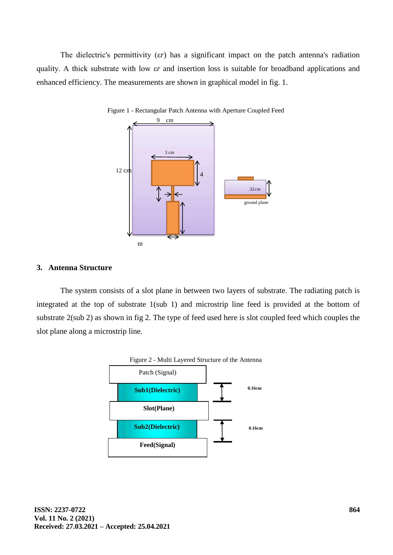The dielectric's permittivity (ε*r*) has a significant impact on the patch antenna's radiation quality. A thick substrate with low ε*r* and insertion loss is suitable for broadband applications and enhanced efficiency. The measurements are shown in graphical model in fig. 1.



Figure 1 - Rectangular Patch Antenna with Aperture Coupled Feed

### **3. Antenna Structure**

The system consists of a slot plane in between two layers of substrate. The radiating patch is integrated at the top of substrate 1(sub 1) and microstrip line feed is provided at the bottom of substrate 2(sub 2) as shown in fig 2. The type of feed used here is slot coupled feed which couples the slot plane along a microstrip line.

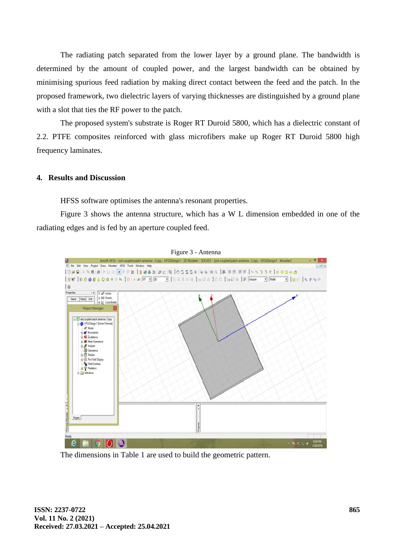The radiating patch separated from the lower layer by a ground plane. The bandwidth is determined by the amount of coupled power, and the largest bandwidth can be obtained by minimising spurious feed radiation by making direct contact between the feed and the patch. In the proposed framework, two dielectric layers of varying thicknesses are distinguished by a ground plane with a slot that ties the RF power to the patch.

The proposed system's substrate is Roger RT Duroid 5800, which has a dielectric constant of 2.2. PTFE composites reinforced with glass microfibers make up Roger RT Duroid 5800 high frequency laminates.

### **4. Results and Discussion**

HFSS software optimises the antenna's resonant properties.

Figure 3 shows the antenna structure, which has a W L dimension embedded in one of the radiating edges and is fed by an aperture coupled feed.



The dimensions in Table 1 are used to build the geometric pattern.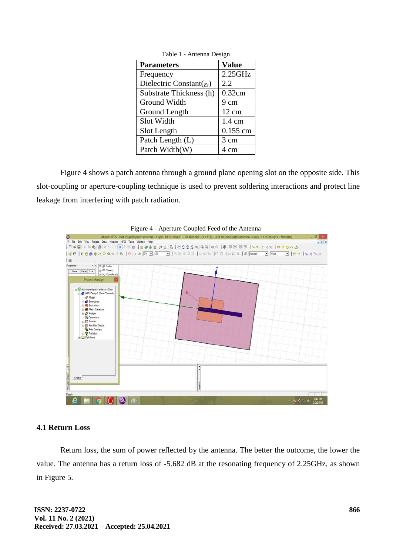| <b>Parameters</b>                      | <b>Value</b>     |
|----------------------------------------|------------------|
| Frequency                              | $2.25$ GHz       |
| Dielectric Constant( $\varepsilon_r$ ) | 2.2              |
| Substrate Thickness (h)                | 0.32cm           |
| Ground Width                           | 9 cm             |
| Ground Length                          | $12 \text{ cm}$  |
| Slot Width                             | $1.4 \text{ cm}$ |
| Slot Length                            | 0.155 cm         |
| Patch Length (L)                       | 3 cm             |
| Patch Width(W)                         | 4 cm             |

Table 1 - Antenna Design

Figure 4 shows a patch antenna through a ground plane opening slot on the opposite side. This slot-coupling or aperture-coupling technique is used to prevent soldering interactions and protect line leakage from interfering with patch radiation.





#### **4.1 Return Loss**

Return loss, the sum of power reflected by the antenna. The better the outcome, the lower the value. The antenna has a return loss of -5.682 dB at the resonating frequency of 2.25GHz, as shown in Figure 5.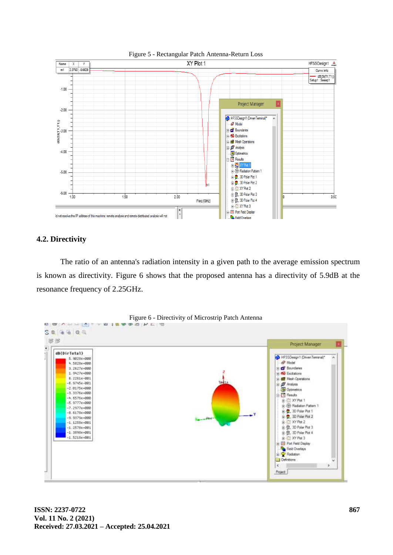

### **4.2. Directivity**

The ratio of an antenna's radiation intensity in a given path to the average emission spectrum is known as directivity. Figure 6 shows that the proposed antenna has a directivity of 5.9dB at the resonance frequency of 2.25GHz.

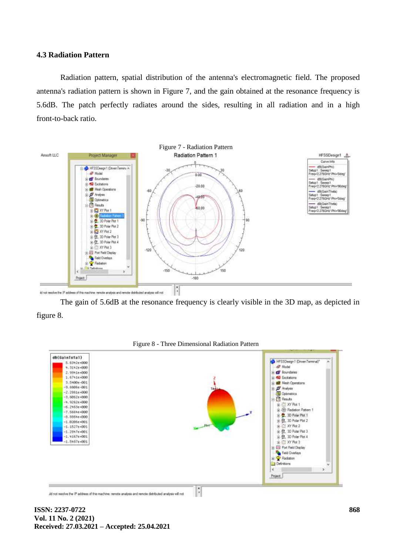#### **4.3 Radiation Pattern**

Radiation pattern, spatial distribution of the antenna's electromagnetic field. The proposed antenna's radiation pattern is shown in Figure 7, and the gain obtained at the resonance frequency is 5.6dB. The patch perfectly radiates around the sides, resulting in all radiation and in a high front-to-back ratio.



The gain of 5.6dB at the resonance frequency is clearly visible in the 3D map, as depicted in figure 8.



Figure 8 - Three Dimensional Radiation Pattern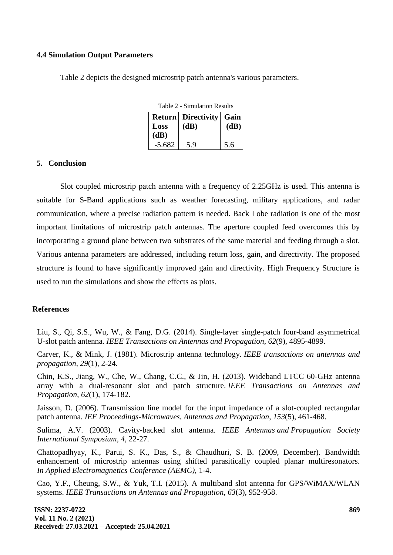### **4.4 Simulation Output Parameters**

Table 2 depicts the designed microstrip patch antenna's various parameters.

| Return   | <b>Directivity</b> | Gain |
|----------|--------------------|------|
| Loss     | (dB)               | (dB) |
| (dB)     |                    |      |
| $-5.682$ | 59                 | 5.6  |

Table 2 - Simulation Results

### **5. Conclusion**

Slot coupled microstrip patch antenna with a frequency of 2.25GHz is used. This antenna is suitable for S-Band applications such as weather forecasting, military applications, and radar communication, where a precise radiation pattern is needed. Back Lobe radiation is one of the most important limitations of microstrip patch antennas. The aperture coupled feed overcomes this by incorporating a ground plane between two substrates of the same material and feeding through a slot. Various antenna parameters are addressed, including return loss, gain, and directivity. The proposed structure is found to have significantly improved gain and directivity. High Frequency Structure is used to run the simulations and show the effects as plots.

#### **References**

Liu, S., Qi, S.S., Wu, W., & Fang, D.G. (2014). Single-layer single-patch four-band asymmetrical U-slot patch antenna. *IEEE Transactions on Antennas and Propagation*, *62*(9), 4895-4899.

Carver, K., & Mink, J. (1981). Microstrip antenna technology. *IEEE transactions on antennas and propagation*, *29*(1), 2-24.

Chin, K.S., Jiang, W., Che, W., Chang, C.C., & Jin, H. (2013). Wideband LTCC 60-GHz antenna array with a dual-resonant slot and patch structure. *IEEE Transactions on Antennas and Propagation*, *62*(1), 174-182.

Jaisson, D. (2006). Transmission line model for the input impedance of a slot-coupled rectangular patch antenna. *IEE Proceedings-Microwaves, Antennas and Propagation*, *153*(5), 461-468.

Sulima, A.V. (2003). Cavity-backed slot antenna. *IEEE Antennas and Propagation Society International Symposium, 4*, 22-27.

Chattopadhyay, K., Parui, S. K., Das, S., & Chaudhuri, S. B. (2009, December). Bandwidth enhancement of microstrip antennas using shifted parasitically coupled planar multiresonators. *In Applied Electromagnetics Conference (AEMC)*, 1-4.

Cao, Y.F., Cheung, S.W., & Yuk, T.I. (2015). A multiband slot antenna for GPS/WiMAX/WLAN systems. *IEEE Transactions on Antennas and Propagation*, *63*(3), 952-958.